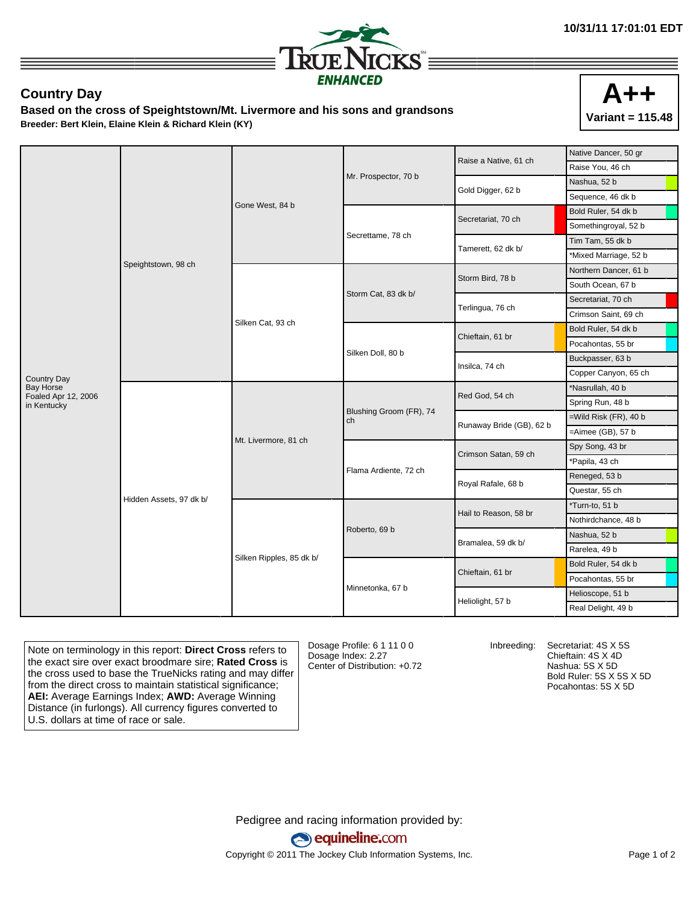

## **Country Day**

**Based on the cross of Speightstown/Mt. Livermore and his sons and grandsons Breeder: Bert Klein, Elaine Klein & Richard Klein (KY)**



|                                    | Speightstown, 98 ch     | Gone West, 84 b          |                               | Raise a Native, 61 ch    | Native Dancer, 50 gr     |
|------------------------------------|-------------------------|--------------------------|-------------------------------|--------------------------|--------------------------|
|                                    |                         |                          |                               |                          | Raise You, 46 ch         |
|                                    |                         |                          | Mr. Prospector, 70 b          | Gold Digger, 62 b        | Nashua, 52 b             |
|                                    |                         |                          |                               |                          | Sequence, 46 dk b        |
|                                    |                         |                          |                               | Secretariat, 70 ch       | Bold Ruler, 54 dk b      |
|                                    |                         |                          | Secrettame, 78 ch             |                          | Somethingroyal, 52 b     |
|                                    |                         |                          |                               | Tamerett, 62 dk b/       | Tim Tam, 55 dk b         |
|                                    |                         |                          |                               |                          | *Mixed Marriage, 52 b    |
|                                    |                         | Silken Cat, 93 ch        | Storm Cat, 83 dk b/           | Storm Bird, 78 b         | Northern Dancer, 61 b    |
|                                    |                         |                          |                               |                          | South Ocean, 67 b        |
|                                    |                         |                          |                               | Terlingua, 76 ch         | Secretariat, 70 ch       |
|                                    |                         |                          |                               |                          | Crimson Saint, 69 ch     |
|                                    |                         |                          | Silken Doll, 80 b             | Chieftain, 61 br         | Bold Ruler, 54 dk b      |
|                                    |                         |                          |                               |                          | Pocahontas, 55 br        |
|                                    |                         |                          |                               | Insilca, 74 ch           | Buckpasser, 63 b         |
| <b>Country Day</b>                 |                         |                          |                               |                          | Copper Canyon, 65 ch     |
| <b>Bay Horse</b>                   | Hidden Assets, 97 dk b/ | Mt. Livermore, 81 ch     | Blushing Groom (FR), 74<br>ch | Red God, 54 ch           | *Nasrullah, 40 b         |
| Foaled Apr 12, 2006<br>in Kentucky |                         |                          |                               |                          | Spring Run, 48 b         |
|                                    |                         |                          |                               | Runaway Bride (GB), 62 b | $=$ Wild Risk (FR), 40 b |
|                                    |                         |                          |                               |                          | $=$ Aimee (GB), 57 $b$   |
|                                    |                         |                          | Flama Ardiente, 72 ch         | Crimson Satan, 59 ch     | Spy Song, 43 br          |
|                                    |                         |                          |                               |                          | *Papila, 43 ch           |
|                                    |                         |                          |                               | Royal Rafale, 68 b       | Reneged, 53 b            |
|                                    |                         |                          |                               |                          | Questar, 55 ch           |
|                                    |                         | Silken Ripples, 85 dk b/ | Roberto, 69 b                 | Hail to Reason, 58 br    | *Turn-to, 51 b           |
|                                    |                         |                          |                               |                          | Nothirdchance, 48 b      |
|                                    |                         |                          |                               | Bramalea, 59 dk b/       | Nashua, 52 b             |
|                                    |                         |                          |                               |                          | Rarelea, 49 b            |
|                                    |                         |                          | Minnetonka, 67 b              | Chieftain, 61 br         | Bold Ruler, 54 dk b      |
|                                    |                         |                          |                               |                          | Pocahontas, 55 br        |
|                                    |                         |                          |                               | Heliolight, 57 b         | Helioscope, 51 b         |
|                                    |                         |                          |                               |                          | Real Delight, 49 b       |

Note on terminology in this report: **Direct Cross** refers to the exact sire over exact broodmare sire; **Rated Cross** is the cross used to base the TrueNicks rating and may differ from the direct cross to maintain statistical significance; **AEI:** Average Earnings Index; **AWD:** Average Winning Distance (in furlongs). All currency figures converted to U.S. dollars at time of race or sale.

Dosage Profile: 6 1 11 0 0 Dosage Index: 2.27 Center of Distribution: +0.72

Inbreeding: Secretariat: 4S X 5S Chieftain: 4S X 4D Nashua: 5S X 5D Bold Ruler: 5S X 5S X 5D Pocahontas: 5S X 5D

Pedigree and racing information provided by: equineline.com Copyright © 2011 The Jockey Club Information Systems, Inc. example 2012 Page 1 of 2